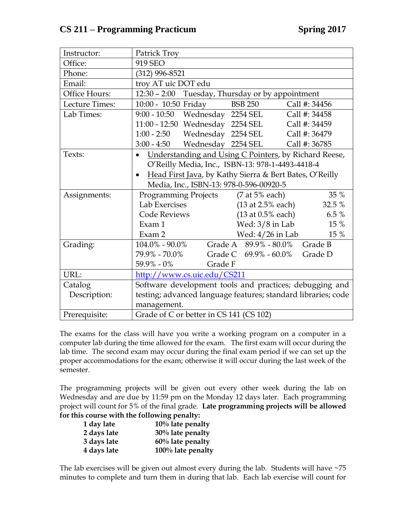## **CS 211 – Programming Practicum Spring 2017**

| Instructor:    | Patrick Troy                                                                                       |         |                               |                        |               |
|----------------|----------------------------------------------------------------------------------------------------|---------|-------------------------------|------------------------|---------------|
| Office:        | 919 SEO                                                                                            |         |                               |                        |               |
| Phone:         | $(312)$ 996-8521                                                                                   |         |                               |                        |               |
| Email:         | troy AT uic DOT edu                                                                                |         |                               |                        |               |
| Office Hours:  | 12:30 - 2:00 Tuesday, Thursday or by appointment                                                   |         |                               |                        |               |
| Lecture Times: | 10:00 - 10:50 Friday                                                                               |         | <b>BSB 250</b>                |                        | Call #: 34456 |
| Lab Times:     | 9:00 - 10:50 Wednesday 2254 SEL                                                                    |         |                               |                        | Call #: 34458 |
|                | 11:00 - 12:50 Wednesday 2254 SEL                                                                   |         |                               |                        | Call #: 34459 |
|                | 1:00 - 2:50 Wednesday 2254 SEL                                                                     |         |                               |                        | Call #: 36479 |
|                | 3:00 - 4:50 Wednesday 2254 SEL                                                                     |         |                               |                        | Call #: 36785 |
| Texts:         | • Understanding and Using C Pointers, by Richard Reese,                                            |         |                               |                        |               |
|                | O'Reilly Media, Inc., ISBN-13: 978-1-4493-4418-4                                                   |         |                               |                        |               |
|                | Head First Java, by Kathy Sierra & Bert Bates, O'Reilly<br>Media, Inc., ISBN-13: 978-0-596-00920-5 |         |                               |                        |               |
|                |                                                                                                    |         |                               |                        |               |
| Assignments:   | Programming Projects (7 at 5% each)                                                                |         |                               |                        | 35 %          |
|                | Lab Exercises                                                                                      |         |                               | $(13$ at 2.5% each)    | 32.5 %        |
|                | <b>Code Reviews</b>                                                                                |         |                               | $(13$ at $0.5\%$ each) | 6.5 %         |
|                | Exam 1                                                                                             |         |                               | Wed: $3/8$ in Lab      | 15 %          |
|                | Exam 2                                                                                             |         |                               | Wed: 4/26 in Lab       | 15 %          |
| Grading:       | 104.0% - 90.0%                                                                                     |         | Grade A 89.9% - 80.0% Grade B |                        |               |
|                | 79.9% - 70.0%                                                                                      |         | Grade C $69.9\%$ - $60.0\%$   |                        | Grade D       |
|                | 59.9% - 0%                                                                                         | Grade F |                               |                        |               |
| URL:           | http://www.cs.uic.edu/CS211                                                                        |         |                               |                        |               |
| Catalog        | Software development tools and practices; debugging and                                            |         |                               |                        |               |
| Description:   | testing; advanced language features; standard libraries; code                                      |         |                               |                        |               |
|                | management.                                                                                        |         |                               |                        |               |
| Prerequisite:  | Grade of C or better in CS 141 (CS 102)                                                            |         |                               |                        |               |

The exams for the class will have you write a working program on a computer in a computer lab during the time allowed for the exam. The first exam will occur during the lab time. The second exam may occur during the final exam period if we can set up the proper accommodations for the exam; otherwise it will occur during the last week of the semester.

The programming projects will be given out every other week during the lab on Wednesday and are due by 11:59 pm on the Monday 12 days later. Each programming project will count for 5% of the final grade. **Late programming projects will be allowed for this course with the following penalty:**

| $10\%$ late penalty  |
|----------------------|
| $30\%$ late penalty  |
| $60\%$ late penalty  |
| $100\%$ late penalty |
|                      |

The lab exercises will be given out almost every during the lab. Students will have  $~75$ minutes to complete and turn them in during that lab. Each lab exercise will count for